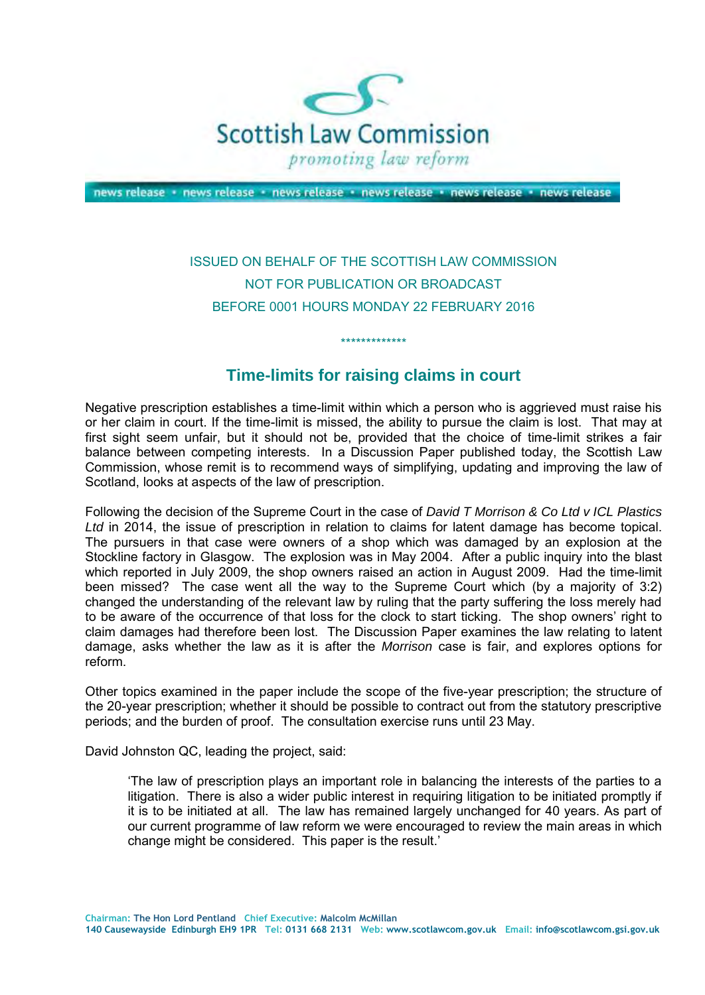

news release · news release · news release · news release · news release · news release

## ISSUED ON BEHALF OF THE SCOTTISH LAW COMMISSION NOT FOR PUBLICATION OR BROADCAST BEFORE 0001 HOURS MONDAY 22 FEBRUARY 2016

## **Time-limits for raising claims in court**

\*\*\*\*\*\*\*\*\*\*\*\*\*

 Negative prescription establishes a time-limit within which a person who is aggrieved must raise his or her claim in court. If the time-limit is missed, the ability to pursue the claim is lost. That may at first sight seem unfair, but it should not be, provided that the choice of time-limit strikes a fair balance between competing interests. In a Discussion Paper published today, the Scottish Law Commission, whose remit is to recommend ways of simplifying, updating and improving the law of Scotland, looks at aspects of the law of prescription.

 Following the decision of the Supreme Court in the case of *David T Morrison & Co Ltd v ICL Plastics Ltd* in 2014, the issue of prescription in relation to claims for latent damage has become topical. The pursuers in that case were owners of a shop which was damaged by an explosion at the Stockline factory in Glasgow. The explosion was in May 2004. After a public inquiry into the blast which reported in July 2009, the shop owners raised an action in August 2009. Had the time-limit been missed? The case went all the way to the Supreme Court which (by a majority of 3:2) changed the understanding of the relevant law by ruling that the party suffering the loss merely had to be aware of the occurrence of that loss for the clock to start ticking. The shop owners' right to claim damages had therefore been lost. The Discussion Paper examines the law relating to latent damage, asks whether the law as it is after the *Morrison* case is fair, and explores options for reform.

reform.<br>Other topics examined in the paper include the scope of the five-year prescription; the structure of the 20-year prescription; whether it should be possible to contract out from the statutory prescriptive periods; and the burden of proof. The consultation exercise runs until 23 May.

David Johnston QC, leading the project, said:

 'The law of prescription plays an important role in balancing the interests of the parties to a litigation. There is also a wider public interest in requiring litigation to be initiated promptly if it is to be initiated at all. The law has remained largely unchanged for 40 years. As part of our current programme of law reform we were encouraged to review the main areas in which change might be considered. This paper is the result.'

**Chairman: The Hon Lord Pentland Chief Executive: Malcolm McMillan** 

 **140 Causewayside Edinburgh EH9 1PR Tel: 0131 668 2131 Web: www.scotlawcom.gov.uk Email: info@scotlawcom.gsi.gov.uk**